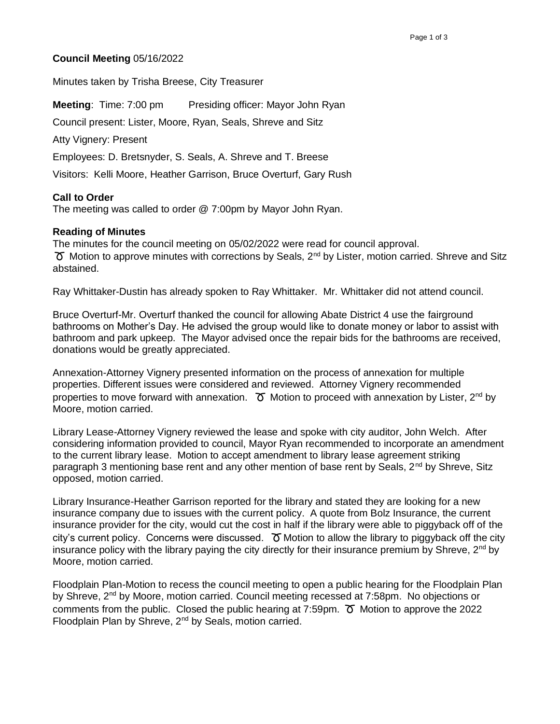## **Council Meeting** 05/16/2022

Minutes taken by Trisha Breese, City Treasurer

**Meeting:** Time: 7:00 pm Presiding officer: Mayor John Ryan

Council present: Lister, Moore, Ryan, Seals, Shreve and Sitz

Atty Vignery: Present

Employees: D. Bretsnyder, S. Seals, A. Shreve and T. Breese

Visitors: Kelli Moore, Heather Garrison, Bruce Overturf, Gary Rush

## **Call to Order**

The meeting was called to order @ 7:00pm by Mayor John Ryan.

## **Reading of Minutes**

The minutes for the council meeting on 05/02/2022 were read for council approval.  $\sigma$  Motion to approve minutes with corrections by Seals, 2<sup>nd</sup> by Lister, motion carried. Shreve and Sitz abstained.

Ray Whittaker-Dustin has already spoken to Ray Whittaker. Mr. Whittaker did not attend council.

Bruce Overturf-Mr. Overturf thanked the council for allowing Abate District 4 use the fairground bathrooms on Mother's Day. He advised the group would like to donate money or labor to assist with bathroom and park upkeep. The Mayor advised once the repair bids for the bathrooms are received, donations would be greatly appreciated.

Annexation-Attorney Vignery presented information on the process of annexation for multiple properties. Different issues were considered and reviewed. Attorney Vignery recommended properties to move forward with annexation.  $\sigma$  Motion to proceed with annexation by Lister, 2<sup>nd</sup> by Moore, motion carried.

Library Lease-Attorney Vignery reviewed the lease and spoke with city auditor, John Welch. After considering information provided to council, Mayor Ryan recommended to incorporate an amendment to the current library lease. Motion to accept amendment to library lease agreement striking paragraph 3 mentioning base rent and any other mention of base rent by Seals,  $2^{nd}$  by Shreve, Sitz opposed, motion carried.

Library Insurance-Heather Garrison reported for the library and stated they are looking for a new insurance company due to issues with the current policy. A quote from Bolz Insurance, the current insurance provider for the city, would cut the cost in half if the library were able to piggyback off of the city's current policy. Concerns were discussed.  $\sigma$  Motion to allow the library to piggyback off the city insurance policy with the library paying the city directly for their insurance premium by Shreve,  $2^{nd}$  by Moore, motion carried.

Floodplain Plan-Motion to recess the council meeting to open a public hearing for the Floodplain Plan by Shreve, 2<sup>nd</sup> by Moore, motion carried. Council meeting recessed at 7:58pm. No objections or comments from the public. Closed the public hearing at  $7:59$ pm.  $\sigma$  Motion to approve the 2022 Floodplain Plan by Shreve, 2<sup>nd</sup> by Seals, motion carried.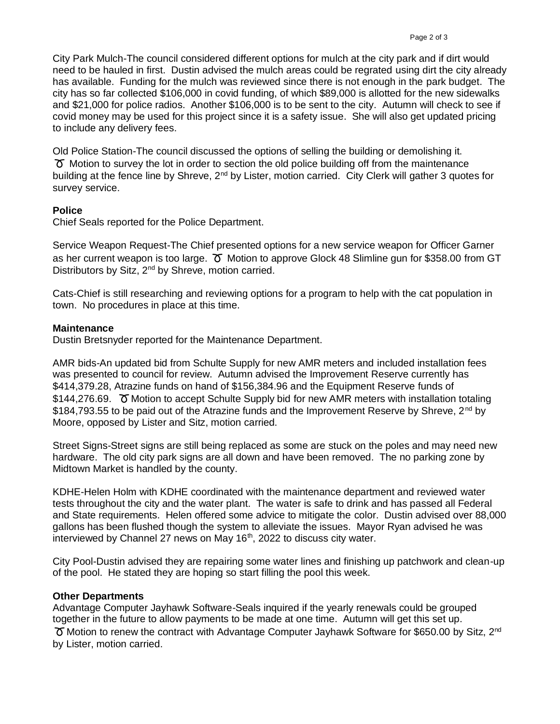City Park Mulch-The council considered different options for mulch at the city park and if dirt would need to be hauled in first. Dustin advised the mulch areas could be regrated using dirt the city already has available. Funding for the mulch was reviewed since there is not enough in the park budget. The city has so far collected \$106,000 in covid funding, of which \$89,000 is allotted for the new sidewalks and \$21,000 for police radios. Another \$106,000 is to be sent to the city. Autumn will check to see if covid money may be used for this project since it is a safety issue. She will also get updated pricing to include any delivery fees.

Old Police Station-The council discussed the options of selling the building or demolishing it.  $\sigma$  Motion to survey the lot in order to section the old police building off from the maintenance building at the fence line by Shreve, 2<sup>nd</sup> by Lister, motion carried. City Clerk will gather 3 quotes for survey service.

# **Police**

Chief Seals reported for the Police Department.

Service Weapon Request-The Chief presented options for a new service weapon for Officer Garner as her current weapon is too large.  $\sigma$  Motion to approve Glock 48 Slimline gun for \$358.00 from GT Distributors by Sitz, 2<sup>nd</sup> by Shreve, motion carried.

Cats-Chief is still researching and reviewing options for a program to help with the cat population in town. No procedures in place at this time.

## **Maintenance**

Dustin Bretsnyder reported for the Maintenance Department.

AMR bids-An updated bid from Schulte Supply for new AMR meters and included installation fees was presented to council for review. Autumn advised the Improvement Reserve currently has \$414,379.28, Atrazine funds on hand of \$156,384.96 and the Equipment Reserve funds of \$144,276.69.  $\sigma$  Motion to accept Schulte Supply bid for new AMR meters with installation totaling \$184,793.55 to be paid out of the Atrazine funds and the Improvement Reserve by Shreve,  $2^{nd}$  by Moore, opposed by Lister and Sitz, motion carried.

Street Signs-Street signs are still being replaced as some are stuck on the poles and may need new hardware. The old city park signs are all down and have been removed. The no parking zone by Midtown Market is handled by the county.

KDHE-Helen Holm with KDHE coordinated with the maintenance department and reviewed water tests throughout the city and the water plant. The water is safe to drink and has passed all Federal and State requirements. Helen offered some advice to mitigate the color. Dustin advised over 88,000 gallons has been flushed though the system to alleviate the issues. Mayor Ryan advised he was interviewed by Channel 27 news on May 16<sup>th</sup>, 2022 to discuss city water.

City Pool-Dustin advised they are repairing some water lines and finishing up patchwork and clean-up of the pool. He stated they are hoping so start filling the pool this week.

## **Other Departments**

Advantage Computer Jayhawk Software-Seals inquired if the yearly renewals could be grouped together in the future to allow payments to be made at one time. Autumn will get this set up.  $\sigma$  Motion to renew the contract with Advantage Computer Jayhawk Software for \$650.00 by Sitz, 2<sup>nd</sup> by Lister, motion carried.